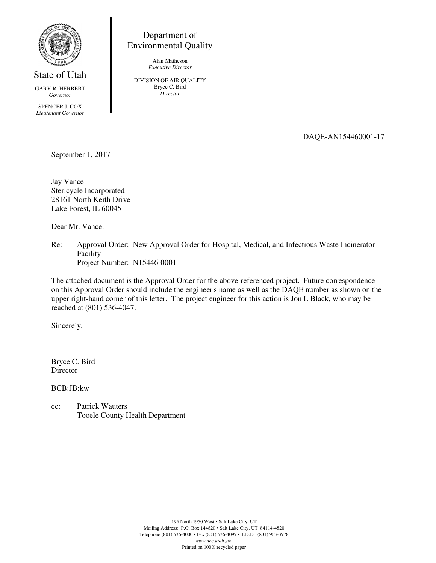

State of Utah

GARY R. HERBERT *Governor* 

SPENCER J. COX *Lieutenant Governor*

Department of Environmental Quality

> Alan Matheson *Executive Director*

DIVISION OF AIR QUALITY Bryce C. Bird *Director* 

DAQE-AN154460001-17

September 1, 2017

Jay Vance Stericycle Incorporated 28161 North Keith Drive Lake Forest, IL 60045

Dear Mr. Vance:

Re: Approval Order: New Approval Order for Hospital, Medical, and Infectious Waste Incinerator Facility Project Number: N15446-0001

The attached document is the Approval Order for the above-referenced project. Future correspondence on this Approval Order should include the engineer's name as well as the DAQE number as shown on the upper right-hand corner of this letter. The project engineer for this action is Jon L Black, who may be reached at (801) 536-4047.

Sincerely,

Bryce C. Bird Director

BCB:JB:kw

cc: Patrick Wauters Tooele County Health Department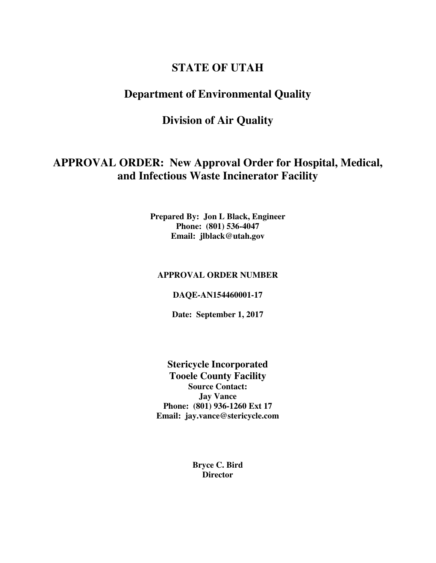# **STATE OF UTAH**

# **Department of Environmental Quality**

# **Division of Air Quality**

# **APPROVAL ORDER: New Approval Order for Hospital, Medical, and Infectious Waste Incinerator Facility**

**Prepared By: Jon L Black, Engineer Phone: (801) 536-4047 Email: jlblack@utah.gov** 

## **APPROVAL ORDER NUMBER**

#### **DAQE-AN154460001-17**

**Date: September 1, 2017** 

**Stericycle Incorporated Tooele County Facility Source Contact: Jay Vance Phone: (801) 936-1260 Ext 17 Email: jay.vance@stericycle.com** 

> **Bryce C. Bird Director**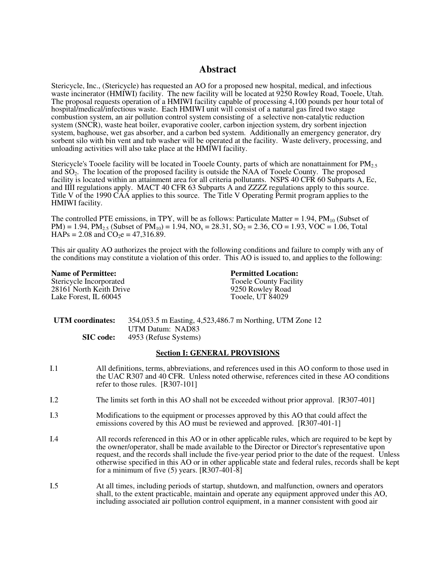# **Abstract**

Stericycle, Inc., (Stericycle) has requested an AO for a proposed new hospital, medical, and infectious waste incinerator (HMIWI) facility. The new facility will be located at 9250 Rowley Road, Tooele, Utah. The proposal requests operation of a HMIWI facility capable of processing 4,100 pounds per hour total of hospital/medical/infectious waste. Each HMIWI unit will consist of a natural gas fired two stage combustion system, an air pollution control system consisting of a selective non-catalytic reduction system (SNCR), waste heat boiler, evaporative cooler, carbon injection system, dry sorbent injection system, baghouse, wet gas absorber, and a carbon bed system. Additionally an emergency generator, dry sorbent silo with bin vent and tub washer will be operated at the facility. Waste delivery, processing, and unloading activities will also take place at the HMIWI facility.

Stericycle's Tooele facility will be located in Tooele County, parts of which are nonattainment for PM<sub>2.5</sub> and  $\overline{SO}_2$ . The location of the proposed facility is outside the NAA of Tooele County. The proposed facility is located within an attainment area for all criteria pollutants. NSPS 40 CFR 60 Subparts A, Ec, and IIII regulations apply. MACT 40 CFR 63 Subparts A and ZZZZ regulations apply to this source. Title V of the 1990 CAA applies to this source. The Title V Operating Permit program applies to the HMIWI facility.

The controlled PTE emissions, in TPY, will be as follows: Particulate Matter =  $1.94$ ,  $PM_{10}$  (Subset of  $PM$ ) = 1.94,  $PM_{2.5}$  (Subset of  $PM_{10}$ ) = 1.94,  $NO_x = 28.31$ ,  $SO_2 = 2.36$ ,  $CO = 1.93$ ,  $VOC = 1.06$ , Total  $HAPs = 2.08$  and  $CO<sub>2</sub>e = 47,316.89$ .

This air quality AO authorizes the project with the following conditions and failure to comply with any of the conditions may constitute a violation of this order. This AO is issued to, and applies to the following:

#### **Name of Permittee:**

Stericycle Incorporated 28161 North Keith Drive Lake Forest, IL 60045

**Permitted Location:** Tooele County Facility 9250 Rowley Road Tooele, UT 84029

| UTM coordinates: | 354,053.5 m Easting, 4,523,486.7 m Northing, UTM Zone 12 |
|------------------|----------------------------------------------------------|
|                  | UTM Datum: NAD83                                         |
| SIC code:        | 4953 (Refuse Systems)                                    |

#### **Section I: GENERAL PROVISIONS**

- I.1 All definitions, terms, abbreviations, and references used in this AO conform to those used in the UAC R307 and 40 CFR. Unless noted otherwise, references cited in these AO conditions refer to those rules. [R307-101]
- I.2 The limits set forth in this AO shall not be exceeded without prior approval. [R307-401]
- I.3 Modifications to the equipment or processes approved by this AO that could affect the emissions covered by this AO must be reviewed and approved. [R307-401-1]
- I.4 All records referenced in this AO or in other applicable rules, which are required to be kept by the owner/operator, shall be made available to the Director or Director's representative upon request, and the records shall include the five-year period prior to the date of the request. Unless otherwise specified in this AO or in other applicable state and federal rules, records shall be kept for a minimum of five (5) years. [R307-401-8]
- I.5 At all times, including periods of startup, shutdown, and malfunction, owners and operators shall, to the extent practicable, maintain and operate any equipment approved under this AO, including associated air pollution control equipment, in a manner consistent with good air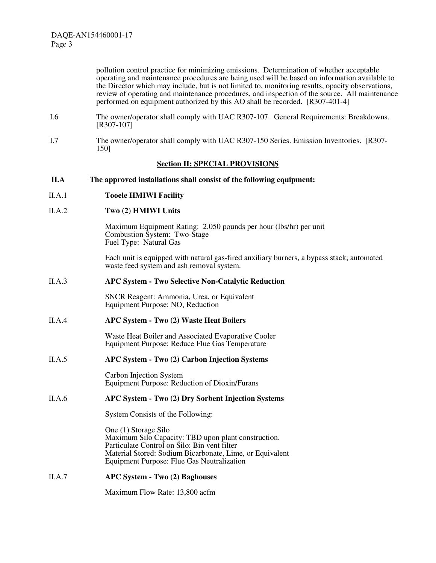pollution control practice for minimizing emissions. Determination of whether acceptable operating and maintenance procedures are being used will be based on information available to the Director which may include, but is not limited to, monitoring results, opacity observations, review of operating and maintenance procedures, and inspection of the source. All maintenance performed on equipment authorized by this AO shall be recorded. [R307-401-4]

- I.6 The owner/operator shall comply with UAC R307-107. General Requirements: Breakdowns. [R307-107]
- I.7 The owner/operator shall comply with UAC R307-150 Series. Emission Inventories. [R307- 150]

#### **Section II: SPECIAL PROVISIONS**

**II.A The approved installations shall consist of the following equipment:** 

#### II.A.1 **Tooele HMIWI Facility**

#### II.A.2 **Two (2) HMIWI Units**

Maximum Equipment Rating: 2,050 pounds per hour (lbs/hr) per unit Combustion System: Two-Stage Fuel Type: Natural Gas

Each unit is equipped with natural gas-fired auxiliary burners, a bypass stack; automated waste feed system and ash removal system.

#### II.A.3 **APC System - Two Selective Non-Catalytic Reduction**

SNCR Reagent: Ammonia, Urea, or Equivalent Equipment Purpose: NOx Reduction

#### II.A.4 **APC System - Two (2) Waste Heat Boilers**

Waste Heat Boiler and Associated Evaporative Cooler Equipment Purpose: Reduce Flue Gas Temperature

### II.A.5 **APC System - Two (2) Carbon Injection Systems**

Carbon Injection System Equipment Purpose: Reduction of Dioxin/Furans

### II.A.6 **APC System - Two (2) Dry Sorbent Injection Systems**

System Consists of the Following:

One (1) Storage Silo Maximum Silo Capacity: TBD upon plant construction. Particulate Control on Silo: Bin vent filter Material Stored: Sodium Bicarbonate, Lime, or Equivalent Equipment Purpose: Flue Gas Neutralization

### II.A.7 **APC System - Two (2) Baghouses**

Maximum Flow Rate: 13,800 acfm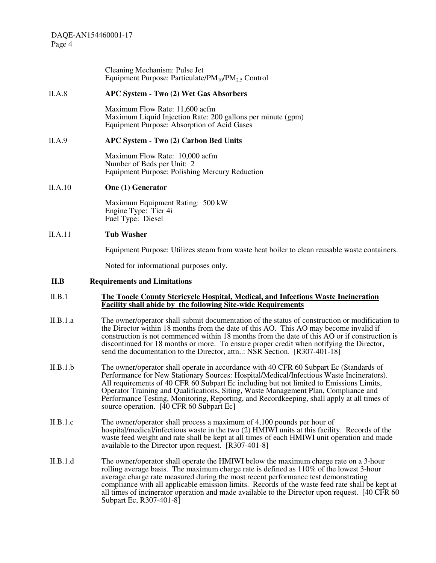|          | Cleaning Mechanism: Pulse Jet<br>Equipment Purpose: Particulate/ $PM_{10}/PM_{2.5}$ Control                                                                                                                                                                                                                                                                                                                                                                                                                    |
|----------|----------------------------------------------------------------------------------------------------------------------------------------------------------------------------------------------------------------------------------------------------------------------------------------------------------------------------------------------------------------------------------------------------------------------------------------------------------------------------------------------------------------|
| II.A.8   | APC System - Two (2) Wet Gas Absorbers                                                                                                                                                                                                                                                                                                                                                                                                                                                                         |
|          | Maximum Flow Rate: 11,600 acfm<br>Maximum Liquid Injection Rate: 200 gallons per minute (gpm)<br>Equipment Purpose: Absorption of Acid Gases                                                                                                                                                                                                                                                                                                                                                                   |
| II.A.9   | APC System - Two (2) Carbon Bed Units                                                                                                                                                                                                                                                                                                                                                                                                                                                                          |
|          | Maximum Flow Rate: 10,000 acfm<br>Number of Beds per Unit: 2<br><b>Equipment Purpose: Polishing Mercury Reduction</b>                                                                                                                                                                                                                                                                                                                                                                                          |
| II.A.10  | <b>One (1) Generator</b>                                                                                                                                                                                                                                                                                                                                                                                                                                                                                       |
|          | Maximum Equipment Rating: 500 kW<br>Engine Type: Tier 4i<br>Fuel Type: Diesel                                                                                                                                                                                                                                                                                                                                                                                                                                  |
| II.A.11  | <b>Tub Washer</b>                                                                                                                                                                                                                                                                                                                                                                                                                                                                                              |
|          | Equipment Purpose: Utilizes steam from waste heat boiler to clean reusable waste containers.                                                                                                                                                                                                                                                                                                                                                                                                                   |
|          | Noted for informational purposes only.                                                                                                                                                                                                                                                                                                                                                                                                                                                                         |
| II.B     | <b>Requirements and Limitations</b>                                                                                                                                                                                                                                                                                                                                                                                                                                                                            |
| II.B.1   | The Tooele County Stericycle Hospital, Medical, and Infectious Waste Incineration<br><b>Facility shall abide by the following Site-wide Requirements</b>                                                                                                                                                                                                                                                                                                                                                       |
| II.B.1.a | The owner/operator shall submit documentation of the status of construction or modification to<br>the Director within 18 months from the date of this AO. This AO may become invalid if<br>construction is not commenced within 18 months from the date of this AO or if construction is<br>discontinued for 18 months or more. To ensure proper credit when notifying the Director,<br>send the documentation to the Director, attn: NSR Section. [R307-401-18]                                               |
| II.B.1.b | The owner/operator shall operate in accordance with 40 CFR 60 Subpart Ec (Standards of<br>Performance for New Stationary Sources: Hospital/Medical/Infectious Waste Incinerators).<br>All requirements of 40 CFR 60 Subpart Ec including but not limited to Emissions Limits,<br>Operator Training and Qualifications, Siting, Waste Management Plan, Compliance and<br>Performance Testing, Monitoring, Reporting, and Recordkeeping, shall apply at all times of<br>source operation. [40 CFR 60 Subpart Ec] |
| II.B.1.c | The owner/operator shall process a maximum of 4,100 pounds per hour of<br>hospital/medical/infectious waste in the two (2) HMIWI units at this facility. Records of the<br>waste feed weight and rate shall be kept at all times of each HMIWI unit operation and made<br>available to the Director upon request. [R307-401-8]                                                                                                                                                                                 |
| II.B.1.d | The owner/operator shall operate the HMIWI below the maximum charge rate on a 3-hour<br>rolling average basis. The maximum charge rate is defined as 110% of the lowest 3-hour<br>average charge rate measured during the most recent performance test demonstrating<br>compliance with all applicable emission limits. Records of the waste feed rate shall be kept at<br>all times of incinerator operation and made available to the Director upon request. [40 CFR 60]                                     |

Subpart Ec, R307-401-8]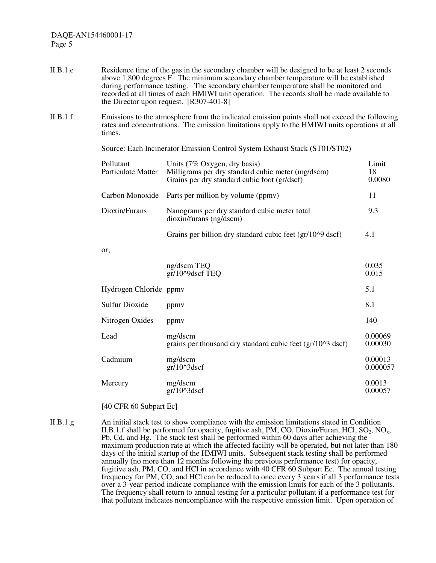- II.B.1.e Residence time of the gas in the secondary chamber will be designed to be at least 2 seconds above 1,800 degrees F. The minimum secondary chamber temperature will be established during performance testing. The secondary chamber temperature shall be monitored and recorded at all times of each HMIWI unit operation. The records shall be made available to the Director upon request. [R307-401-8]
- II.B.1.f Emissions to the atmosphere from the indicated emission points shall not exceed the following rates and concentrations. The emission limitations apply to the HMIWI units operations at all times.

Source: Each Incinerator Emission Control System Exhaust Stack (ST01/ST02)

| Pollutant<br>Particulate Matter | Units (7% Oxygen, dry basis)<br>Milligrams per dry standard cubic meter (mg/dscm)<br>Grains per dry standard cubic foot (gr/dscf) | Limit<br>18<br>0.0080 |
|---------------------------------|-----------------------------------------------------------------------------------------------------------------------------------|-----------------------|
|                                 | Carbon Monoxide Parts per million by volume (ppmv)                                                                                | 11                    |
| Dioxin/Furans                   | Nanograms per dry standard cubic meter total<br>$dioxin/furans$ (ng/dscm)                                                         | 9.3                   |
|                                 | Grains per billion dry standard cubic feet (gr/10^9 dscf)                                                                         | 4.1                   |

or;

|                        | ng/dscm TEQ<br>gr/10^9dscf TEQ                                        | 0.035<br>0.015      |
|------------------------|-----------------------------------------------------------------------|---------------------|
| Hydrogen Chloride ppmy |                                                                       | 5.1                 |
| <b>Sulfur Dioxide</b>  | ppmy                                                                  | 8.1                 |
| Nitrogen Oxides        | ppmy                                                                  | 140                 |
| Lead                   | mg/dscm<br>grains per thousand dry standard cubic feet (gr/10^3 dscf) | 0.00069<br>0.00030  |
| Cadmium                | mg/dscm<br>$gr/10^{\circ}3dscf$                                       | 0.00013<br>0.000057 |
| Mercury                | mg/dscm<br>$gr/10^{\circ}3dscf$                                       | 0.0013<br>0.00057   |
|                        |                                                                       |                     |

[40 CFR 60 Subpart Ec]

II.B.1.g An initial stack test to show compliance with the emission limitations stated in Condition II.B.1.f shall be performed for opacity, fugitive ash, PM, CO, Dioxin/Furan, HCl,  $SO_2$ , NO<sub>x</sub>, Pb, Cd, and Hg. The stack test shall be performed within 60 days after achieving the maximum production rate at which the affected facility will be operated, but not later than 180 days of the initial startup of the HMIWI units. Subsequent stack testing shall be performed annually (no more than 12 months following the previous performance test) for opacity, fugitive ash, PM, CO, and HCl in accordance with 40 CFR 60 Subpart Ec. The annual testing frequency for PM, CO, and HCl can be reduced to once every 3 years if all 3 performance tests over a 3-year period indicate compliance with the emission limits for each of the 3 pollutants. The frequency shall return to annual testing for a particular pollutant if a performance test for that pollutant indicates noncompliance with the respective emission limit. Upon operation of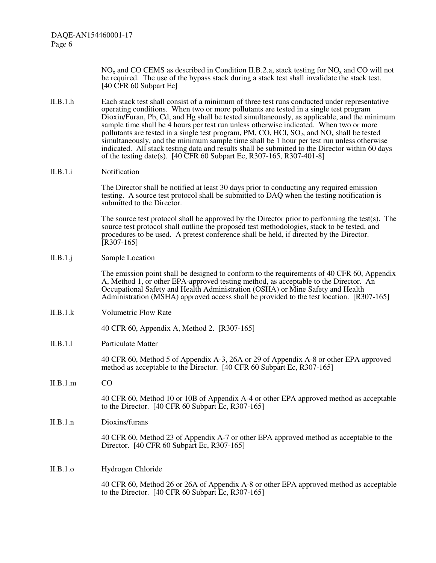> $NO<sub>x</sub>$  and CO CEMS as described in Condition II.B.2.a, stack testing for NO<sub>x</sub> and CO will not be required. The use of the bypass stack during a stack test shall invalidate the stack test. [40 CFR 60 Subpart Ec]

- II.B.1.h Each stack test shall consist of a minimum of three test runs conducted under representative operating conditions. When two or more pollutants are tested in a single test program Dioxin/Furan, Pb, Cd, and Hg shall be tested simultaneously, as applicable, and the minimum sample time shall be 4 hours per test run unless otherwise indicated. When two or more pollutants are tested in a single test program, PM, CO, HCl,  $SO_2$ , and  $NO_x$  shall be tested simultaneously, and the minimum sample time shall be 1 hour per test run unless otherwise indicated. All stack testing data and results shall be submitted to the Director within 60 days of the testing date(s). [40 CFR 60 Subpart Ec, R307-165, R307-401-8]
- II.B.1.i Notification

The Director shall be notified at least 30 days prior to conducting any required emission testing. A source test protocol shall be submitted to DAQ when the testing notification is submitted to the Director.

The source test protocol shall be approved by the Director prior to performing the test(s). The source test protocol shall outline the proposed test methodologies, stack to be tested, and procedures to be used. A pretest conference shall be held, if directed by the Director.  $[R307-165]$ 

#### II.B.1.j Sample Location

The emission point shall be designed to conform to the requirements of 40 CFR 60, Appendix A, Method 1, or other EPA-approved testing method, as acceptable to the Director. An Occupational Safety and Health Administration (OSHA) or Mine Safety and Health Administration (MSHA) approved access shall be provided to the test location. [R307-165]

II.B.1.k Volumetric Flow Rate

40 CFR 60, Appendix A, Method 2. [R307-165]

II.B.1.l Particulate Matter

40 CFR 60, Method 5 of Appendix A-3, 26A or 29 of Appendix A-8 or other EPA approved method as acceptable to the Director. [40 CFR 60 Subpart Ec, R307-165]

II.B.1.m CO

40 CFR 60, Method 10 or 10B of Appendix A-4 or other EPA approved method as acceptable to the Director. [40 CFR 60 Subpart Ec, R307-165]

II.B.1.n Dioxins/furans

40 CFR 60, Method 23 of Appendix A-7 or other EPA approved method as acceptable to the Director. [40 CFR 60 Subpart Ec, R307-165]

II.B.1.o Hydrogen Chloride

40 CFR 60, Method 26 or 26A of Appendix A-8 or other EPA approved method as acceptable to the Director. [40 CFR 60 Subpart Ec, R307-165]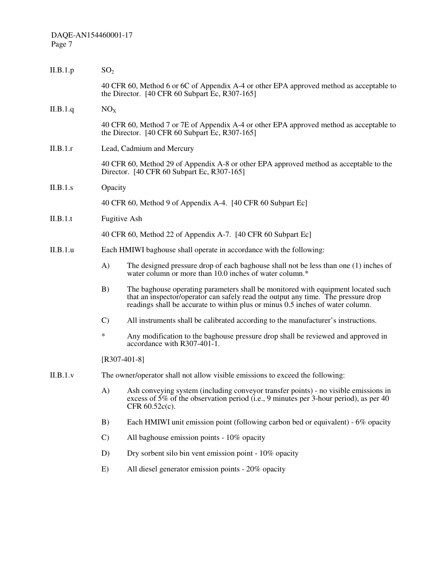| II.B.1.p | SO <sub>2</sub>                                                                                                                      |                                                                                                                                                                                                                                                         |  |
|----------|--------------------------------------------------------------------------------------------------------------------------------------|---------------------------------------------------------------------------------------------------------------------------------------------------------------------------------------------------------------------------------------------------------|--|
|          |                                                                                                                                      | 40 CFR 60, Method 6 or 6C of Appendix A-4 or other EPA approved method as acceptable to<br>the Director. [40 CFR 60 Subpart Ec, R307-165]                                                                                                               |  |
| II.B.1.q | NO <sub>X</sub>                                                                                                                      |                                                                                                                                                                                                                                                         |  |
|          |                                                                                                                                      | 40 CFR 60, Method 7 or 7E of Appendix A-4 or other EPA approved method as acceptable to<br>the Director. $[40 \text{ CFR } 60 \text{ Subpart } Ec, R307-165]$                                                                                           |  |
| II.B.1.r | Lead, Cadmium and Mercury                                                                                                            |                                                                                                                                                                                                                                                         |  |
|          | 40 CFR 60, Method 29 of Appendix A-8 or other EPA approved method as acceptable to the<br>Director. [40 CFR 60 Subpart Ec, R307-165] |                                                                                                                                                                                                                                                         |  |
| II.B.1.s | Opacity                                                                                                                              |                                                                                                                                                                                                                                                         |  |
|          |                                                                                                                                      | 40 CFR 60, Method 9 of Appendix A-4. [40 CFR 60 Subpart Ec]                                                                                                                                                                                             |  |
| II.B.1.t | <b>Fugitive Ash</b>                                                                                                                  |                                                                                                                                                                                                                                                         |  |
|          |                                                                                                                                      | 40 CFR 60, Method 22 of Appendix A-7. [40 CFR 60 Subpart Ec]                                                                                                                                                                                            |  |
| II.B.1.u | Each HMIWI baghouse shall operate in accordance with the following:                                                                  |                                                                                                                                                                                                                                                         |  |
|          | A)                                                                                                                                   | The designed pressure drop of each baghouse shall not be less than one (1) inches of<br>water column or more than 10.0 inches of water column.*                                                                                                         |  |
|          | B)                                                                                                                                   | The baghouse operating parameters shall be monitored with equipment located such<br>that an inspector/operator can safely read the output any time. The pressure drop<br>readings shall be accurate to within plus or minus 0.5 inches of water column. |  |
|          | $\mathbf{C}$                                                                                                                         | All instruments shall be calibrated according to the manufacturer's instructions.                                                                                                                                                                       |  |
|          | ∗                                                                                                                                    | Any modification to the baghouse pressure drop shall be reviewed and approved in<br>accordance with R307-401-1.                                                                                                                                         |  |
|          | $[R307-401-8]$                                                                                                                       |                                                                                                                                                                                                                                                         |  |
| II.B.1.v | The owner/operator shall not allow visible emissions to exceed the following:                                                        |                                                                                                                                                                                                                                                         |  |
|          | A)                                                                                                                                   | Ash conveying system (including conveyor transfer points) - no visible emissions in<br>excess of 5% of the observation period (i.e., 9 minutes per 3-hour period), as per 40<br>CFR 60.52c(c).                                                          |  |
|          | B)                                                                                                                                   | Each HMIWI unit emission point (following carbon bed or equivalent) - 6% opacity                                                                                                                                                                        |  |
|          | $\mathcal{C}$                                                                                                                        | All baghouse emission points - 10% opacity                                                                                                                                                                                                              |  |
|          | D)                                                                                                                                   | Dry sorbent silo bin vent emission point - 10% opacity                                                                                                                                                                                                  |  |
|          | E)                                                                                                                                   | All diesel generator emission points - 20% opacity                                                                                                                                                                                                      |  |
|          |                                                                                                                                      |                                                                                                                                                                                                                                                         |  |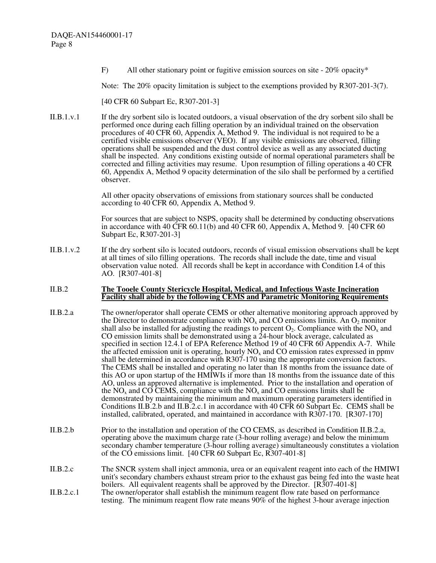F) All other stationary point or fugitive emission sources on site - 20% opacity\*

Note: The 20% opacity limitation is subject to the exemptions provided by R307-201-3(7).

[40 CFR 60 Subpart Ec, R307-201-3]

II.B.1.v.1 If the dry sorbent silo is located outdoors, a visual observation of the dry sorbent silo shall be performed once during each filling operation by an individual trained on the observation procedures of 40 CFR 60, Appendix A, Method 9. The individual is not required to be a certified visible emissions observer (VEO). If any visible emissions are observed, filling operations shall be suspended and the dust control device as well as any associated ducting shall be inspected. Any conditions existing outside of normal operational parameters shall be corrected and filling activities may resume. Upon resumption of filling operations a 40 CFR 60, Appendix A, Method 9 opacity determination of the silo shall be performed by a certified observer.

> All other opacity observations of emissions from stationary sources shall be conducted according to 40 CFR 60, Appendix A, Method 9.

For sources that are subject to NSPS, opacity shall be determined by conducting observations in accordance with 40 CFR 60.11(b) and 40 CFR 60, Appendix A, Method 9. [40 CFR 60 Subpart Ec, R307-201-3]

II.B.1.v.2 If the dry sorbent silo is located outdoors, records of visual emission observations shall be kept at all times of silo filling operations. The records shall include the date, time and visual observation value noted. All records shall be kept in accordance with Condition I.4 of this AO. [R307-401-8]

#### II.B.2 **The Tooele County Stericycle Hospital, Medical, and Infectious Waste Incineration Facility shall abide by the following CEMS and Parametric Monitoring Requirements**

- II.B.2.a The owner/operator shall operate CEMS or other alternative monitoring approach approved by the Director to demonstrate compliance with  $NO<sub>x</sub>$  and CO emissions limits. An  $O<sub>2</sub>$  monitor shall also be installed for adjusting the readings to percent  $O_2$ . Compliance with the NO<sub>x</sub> and CO emission limits shall be demonstrated using a  $24$ -hour block average, calculated as specified in section 12.4.1 of EPA Reference Method 19 of 40 CFR 60 Appendix A-7. While the affected emission unit is operating, hourly  $NO<sub>x</sub>$  and  $CO$  emission rates expressed in ppmv shall be determined in accordance with R307-170 using the appropriate conversion factors. The CEMS shall be installed and operating no later than 18 months from the issuance date of this AO or upon startup of the HMIWIs if more than 18 months from the issuance date of this AO, unless an approved alternative is implemented. Prior to the installation and operation of the NO<sub>x</sub> and CO CEMS, compliance with the NO<sub>x</sub> and CO emissions limits shall be demonstrated by maintaining the minimum and maximum operating parameters identified in Conditions II.B.2.b and II.B.2.c.1 in accordance with 40 CFR 60 Subpart Ec. CEMS shall be installed, calibrated, operated, and maintained in accordance with R307-170. [R307-170]
- II.B.2.b Prior to the installation and operation of the CO CEMS, as described in Condition II.B.2.a, operating above the maximum charge rate (3-hour rolling average) and below the minimum secondary chamber temperature (3-hour rolling average) simultaneously constitutes a violation of the CO emissions limit. [40 CFR 60 Subpart Ec, R307-401-8]
- II.B.2.c The SNCR system shall inject ammonia, urea or an equivalent reagent into each of the HMIWI unit's secondary chambers exhaust stream prior to the exhaust gas being fed into the waste heat boilers. All equivalent reagents shall be approved by the Director. [R307-401-8]
- II.B.2.c.1 The owner/operator shall establish the minimum reagent flow rate based on performance testing. The minimum reagent flow rate means 90% of the highest 3-hour average injection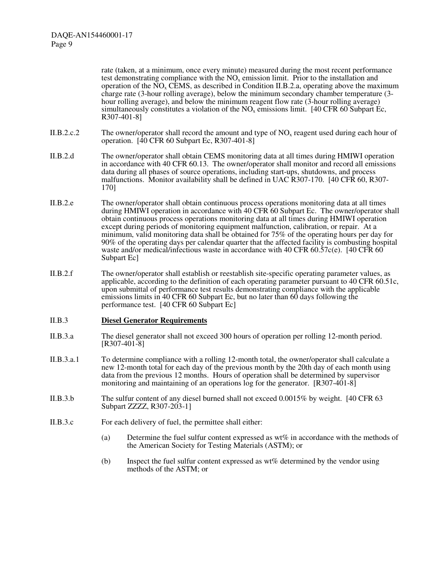rate (taken, at a minimum, once every minute) measured during the most recent performance test demonstrating compliance with the  $NO<sub>x</sub>$  emission limit. Prior to the installation and operation of the  $\overline{NO_x}$  CEMS, as described in Condition II.B.2.a, operating above the maximum charge rate (3-hour rolling average), below the minimum secondary chamber temperature (3 hour rolling average), and below the minimum reagent flow rate (3-hour rolling average) simultaneously constitutes a violation of the  $NO<sub>x</sub>$  emissions limit. [40 CFR 60 Subpart Ec, R307-401-8]

- II.B.2.c.2 The owner/operator shall record the amount and type of  $NO<sub>x</sub>$  reagent used during each hour of operation.  $\left[40 \text{ CFR } 60 \text{ Subpart } Ec, R307-401-8\right]$
- II.B.2.d The owner/operator shall obtain CEMS monitoring data at all times during HMIWI operation in accordance with 40 CFR 60.13. The owner/operator shall monitor and record all emissions data during all phases of source operations, including start-ups, shutdowns, and process malfunctions. Monitor availability shall be defined in UAC R307-170. [40 CFR 60, R307- 170]
- II.B.2.e The owner/operator shall obtain continuous process operations monitoring data at all times during HMIWI operation in accordance with 40 CFR 60 Subpart Ec. The owner/operator shall obtain continuous process operations monitoring data at all times during HMIWI operation except during periods of monitoring equipment malfunction, calibration, or repair. At a minimum, valid monitoring data shall be obtained for 75% of the operating hours per day for 90% of the operating days per calendar quarter that the affected facility is combusting hospital waste and/or medical/infectious waste in accordance with 40 CFR 60.57c(e). [40 CFR 60 Subpart Ec]
- II.B.2.f The owner/operator shall establish or reestablish site-specific operating parameter values, as applicable, according to the definition of each operating parameter pursuant to 40 CFR 60.51c, upon submittal of performance test results demonstrating compliance with the applicable emissions limits in 40 CFR 60 Subpart Ec, but no later than 60 days following the performance test. [40 CFR 60 Subpart Ec]

#### II.B.3 **Diesel Generator Requirements**

- II.B.3.a The diesel generator shall not exceed 300 hours of operation per rolling 12-month period. [R307-401-8]
- II.B.3.a.1 To determine compliance with a rolling 12-month total, the owner/operator shall calculate a new 12-month total for each day of the previous month by the 20th day of each month using data from the previous 12 months. Hours of operation shall be determined by supervisor monitoring and maintaining of an operations log for the generator. [R307-401-8]
- II.B.3.b The sulfur content of any diesel burned shall not exceed 0.0015% by weight. [40 CFR 63 Subpart ZZZZ, R307-203-1]
- II.B.3.c For each delivery of fuel, the permittee shall either:
	- (a) Determine the fuel sulfur content expressed as wt% in accordance with the methods of the American Society for Testing Materials (ASTM); or
	- (b) Inspect the fuel sulfur content expressed as wt% determined by the vendor using methods of the ASTM; or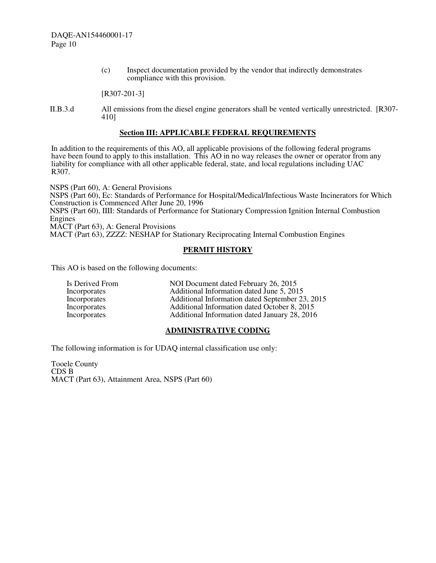(c) Inspect documentation provided by the vendor that indirectly demonstrates compliance with this provision.

[R307-201-3]

II.B.3.d All emissions from the diesel engine generators shall be vented vertically unrestricted. [R307- 410]

## **Section III: APPLICABLE FEDERAL REQUIREMENTS**

In addition to the requirements of this AO, all applicable provisions of the following federal programs have been found to apply to this installation. This AO in no way releases the owner or operator from any liability for compliance with all other applicable federal, state, and local regulations including UAC R307.

NSPS (Part 60), A: General Provisions NSPS (Part 60), Ec: Standards of Performance for Hospital/Medical/Infectious Waste Incinerators for Which Construction is Commenced After June 20, 1996 NSPS (Part 60), IIII: Standards of Performance for Stationary Compression Ignition Internal Combustion Engines MACT (Part 63), A: General Provisions MACT (Part 63), ZZZZ: NESHAP for Stationary Reciprocating Internal Combustion Engines

# **PERMIT HISTORY**

This AO is based on the following documents:

| Is Derived From | NOI Document dated February 26, 2015            |
|-----------------|-------------------------------------------------|
| Incorporates    | Additional Information dated June 5, 2015       |
| Incorporates    | Additional Information dated September 23, 2015 |
| Incorporates    | Additional Information dated October 8, 2015    |
| Incorporates    | Additional Information dated January 28, 2016   |

## **ADMINISTRATIVE CODING**

The following information is for UDAQ internal classification use only:

Tooele County CDS B MACT (Part 63), Attainment Area, NSPS (Part 60)